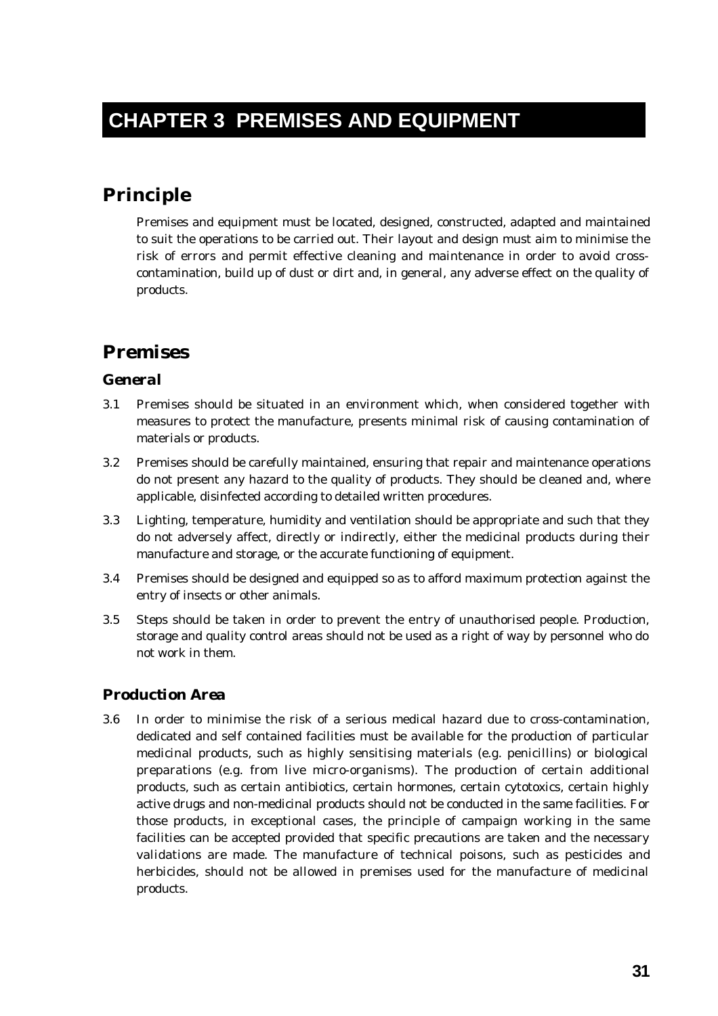# **CHAPTER 3 PREMISES AND EQUIPMENT**

# **Principle**

Premises and equipment must be located, designed, constructed, adapted and maintained to suit the operations to be carried out. Their layout and design must aim to minimise the risk of errors and permit effective cleaning and maintenance in order to avoid crosscontamination, build up of dust or dirt and, in general, any adverse effect on the quality of products.

# **Premises**

### *General*

- 3.1 Premises should be situated in an environment which, when considered together with measures to protect the manufacture, presents minimal risk of causing contamination of materials or products.
- 3.2 Premises should be carefully maintained, ensuring that repair and maintenance operations do not present any hazard to the quality of products. They should be cleaned and, where applicable, disinfected according to detailed written procedures.
- 3.3 Lighting, temperature, humidity and ventilation should be appropriate and such that they do not adversely affect, directly or indirectly, either the medicinal products during their manufacture and storage, or the accurate functioning of equipment.
- 3.4 Premises should be designed and equipped so as to afford maximum protection against the entry of insects or other animals.
- 3.5 Steps should be taken in order to prevent the entry of unauthorised people. Production, storage and quality control areas should not be used as a right of way by personnel who do not work in them.

## *Production Area*

3.6 In order to minimise the risk of a serious medical hazard due to cross-contamination, dedicated and self contained facilities must be available for the production of particular medicinal products, such as highly sensitising materials (e.g. penicillins) or biological preparations (e.g. from live micro-organisms). The production of certain additional products, such as certain antibiotics, certain hormones, certain cytotoxics, certain highly active drugs and non-medicinal products should not be conducted in the same facilities. For those products, in exceptional cases, the principle of campaign working in the same facilities can be accepted provided that specific precautions are taken and the necessary validations are made. The manufacture of technical poisons, such as pesticides and herbicides, should not be allowed in premises used for the manufacture of medicinal products.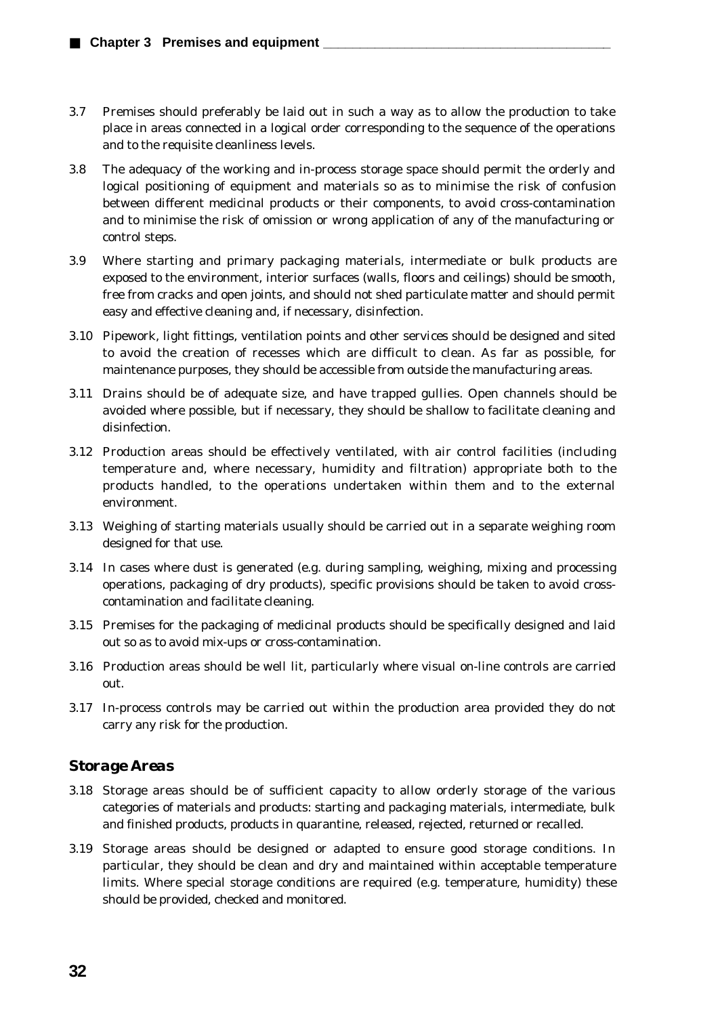- 3.7 Premises should preferably be laid out in such a way as to allow the production to take place in areas connected in a logical order corresponding to the sequence of the operations and to the requisite cleanliness levels.
- 3.8 The adequacy of the working and in-process storage space should permit the orderly and logical positioning of equipment and materials so as to minimise the risk of confusion between different medicinal products or their components, to avoid cross-contamination and to minimise the risk of omission or wrong application of any of the manufacturing or control steps.
- 3.9 Where starting and primary packaging materials, intermediate or bulk products are exposed to the environment, interior surfaces (walls, floors and ceilings) should be smooth, free from cracks and open joints, and should not shed particulate matter and should permit easy and effective cleaning and, if necessary, disinfection.
- 3.10 Pipework, light fittings, ventilation points and other services should be designed and sited to avoid the creation of recesses which are difficult to clean. As far as possible, for maintenance purposes, they should be accessible from outside the manufacturing areas.
- 3.11 Drains should be of adequate size, and have trapped gullies. Open channels should be avoided where possible, but if necessary, they should be shallow to facilitate cleaning and disinfection.
- 3.12 Production areas should be effectively ventilated, with air control facilities (including temperature and, where necessary, humidity and filtration) appropriate both to the products handled, to the operations undertaken within them and to the external environment.
- 3.13 Weighing of starting materials usually should be carried out in a separate weighing room designed for that use.
- 3.14 In cases where dust is generated (e.g. during sampling, weighing, mixing and processing operations, packaging of dry products), specific provisions should be taken to avoid crosscontamination and facilitate cleaning.
- 3.15 Premises for the packaging of medicinal products should be specifically designed and laid out so as to avoid mix-ups or cross-contamination.
- 3.16 Production areas should be well lit, particularly where visual on-line controls are carried out.
- 3.17 In-process controls may be carried out within the production area provided they do not carry any risk for the production.

### *Storage Areas*

- 3.18 Storage areas should be of sufficient capacity to allow orderly storage of the various categories of materials and products: starting and packaging materials, intermediate, bulk and finished products, products in quarantine, released, rejected, returned or recalled.
- 3.19 Storage areas should be designed or adapted to ensure good storage conditions. In particular, they should be clean and dry and maintained within acceptable temperature limits. Where special storage conditions are required (e.g. temperature, humidity) these should be provided, checked and monitored.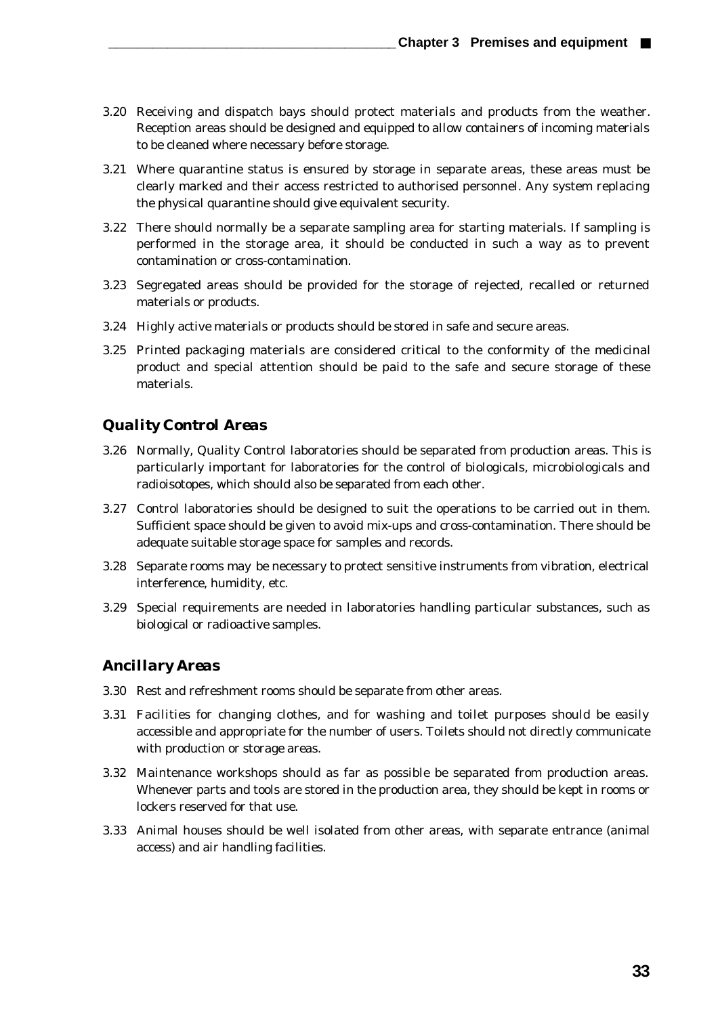- 3.20 Receiving and dispatch bays should protect materials and products from the weather. Reception areas should be designed and equipped to allow containers of incoming materials to be cleaned where necessary before storage.
- 3.21 Where quarantine status is ensured by storage in separate areas, these areas must be clearly marked and their access restricted to authorised personnel. Any system replacing the physical quarantine should give equivalent security.
- 3.22 There should normally be a separate sampling area for starting materials. If sampling is performed in the storage area, it should be conducted in such a way as to prevent contamination or cross-contamination.
- 3.23 Segregated areas should be provided for the storage of rejected, recalled or returned materials or products.
- 3.24 Highly active materials or products should be stored in safe and secure areas.
- 3.25 Printed packaging materials are considered critical to the conformity of the medicinal product and special attention should be paid to the safe and secure storage of these materials.

### *Quality Control Areas*

- 3.26 Normally, Quality Control laboratories should be separated from production areas. This is particularly important for laboratories for the control of biologicals, microbiologicals and radioisotopes, which should also be separated from each other.
- 3.27 Control laboratories should be designed to suit the operations to be carried out in them. Sufficient space should be given to avoid mix-ups and cross-contamination. There should be adequate suitable storage space for samples and records.
- 3.28 Separate rooms may be necessary to protect sensitive instruments from vibration, electrical interference, humidity, etc.
- 3.29 Special requirements are needed in laboratories handling particular substances, such as biological or radioactive samples.

#### *Ancillary Areas*

- 3.30 Rest and refreshment rooms should be separate from other areas.
- 3.31 Facilities for changing clothes, and for washing and toilet purposes should be easily accessible and appropriate for the number of users. Toilets should not directly communicate with production or storage areas.
- 3.32 Maintenance workshops should as far as possible be separated from production areas. Whenever parts and tools are stored in the production area, they should be kept in rooms or lockers reserved for that use.
- 3.33 Animal houses should be well isolated from other areas, with separate entrance (animal access) and air handling facilities.